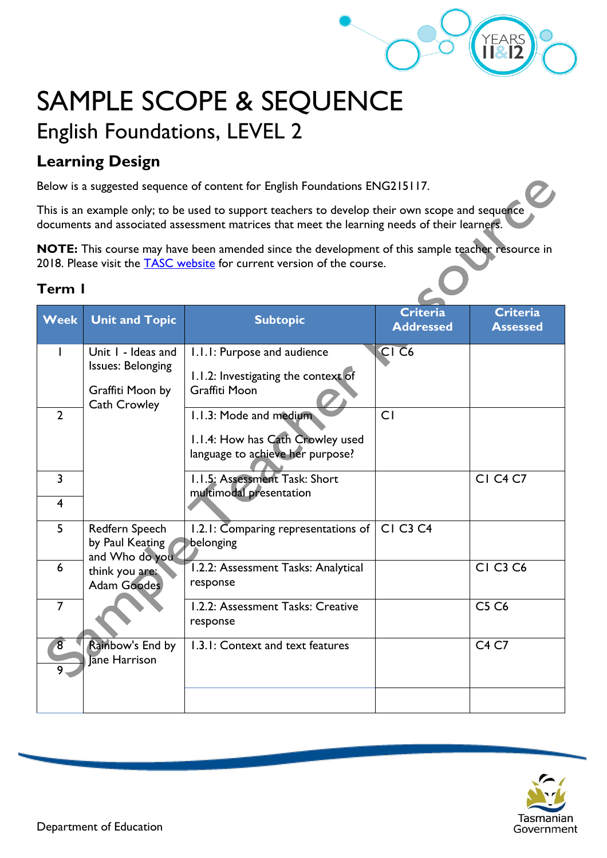

# SAMPLE SCOPE & SEQUENCE English Foundations, LEVEL 2

## **Learning Design**

Below is a suggested sequence of content for English Foundations ENG215117.

This is an example only; to be used to support teachers to develop their own scope and sequence documents and associated assessment matrices that meet the learning needs of their learners.

**NOTE:** This course may have been amended since the development of this sample teacher resource in 2018. Please visit the [TASC website](https://www.tasc.tas.gov.au/students/courses/a-z/) for current version of the course.

#### **Term 1**

| <b>Week</b>    | <b>Unit and Topic</b>             | <b>Subtopic</b>                                             | <b>Criteria</b><br><b>Addressed</b> | <b>Criteria</b><br><b>Assessed</b> |
|----------------|-----------------------------------|-------------------------------------------------------------|-------------------------------------|------------------------------------|
|                | Unit I - Ideas and                |                                                             | CI <sub>C6</sub>                    |                                    |
|                | <b>Issues: Belonging</b>          | I.I.I: Purpose and audience                                 |                                     |                                    |
|                | Graffiti Moon by                  | 1.1.2: Investigating the context of<br><b>Graffiti Moon</b> |                                     |                                    |
| $\overline{2}$ | <b>Cath Crowley</b>               | 1.1.3: Mode and medium                                      | CI                                  |                                    |
|                |                                   | 1.1.4: How has Cath Crowley used                            |                                     |                                    |
|                |                                   | language to achieve her purpose?                            |                                     |                                    |
| 3              |                                   | 1.1.5: Assessment Task: Short<br>multimodal presentation    |                                     | <b>CI C4 C7</b>                    |
| $\overline{4}$ |                                   |                                                             |                                     |                                    |
| 5              | Redfern Speech<br>by Paul Keating | 1.2.1: Comparing representations of $ $<br>belonging        | <b>CI C3 C4</b>                     |                                    |
| 6              | and Who do you<br>think you are:  | 1.2.2: Assessment Tasks: Analytical                         |                                     | <b>CI C3 C6</b>                    |
|                | <b>Adam Goodes</b>                | response                                                    |                                     |                                    |
| $\overline{7}$ |                                   | 1.2.2: Assessment Tasks: Creative<br>response               |                                     | <b>C5 C6</b>                       |
| $\sqrt{8}$     | Rainbow's End by<br>Jane Harrison | 1.3.1: Context and text features                            |                                     | C <sub>4</sub> C <sub>7</sub>      |
| 9              |                                   |                                                             |                                     |                                    |
|                |                                   |                                                             |                                     |                                    |

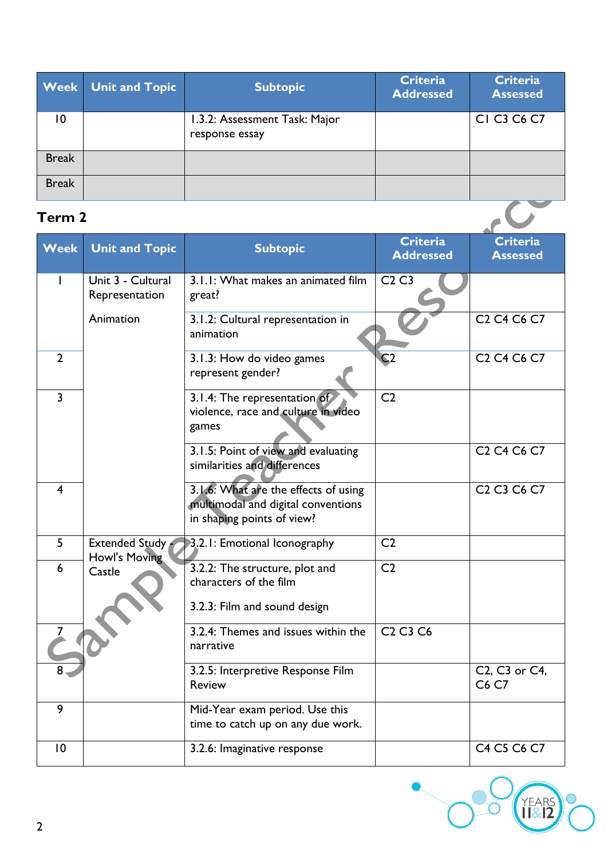|                 | <b>Week</b> Unit and Topic | <b>Subtopic</b>                                 | <b>Criteria</b><br><b>Addressed</b> | <b>Criteria</b><br><b>Assessed</b> |
|-----------------|----------------------------|-------------------------------------------------|-------------------------------------|------------------------------------|
| $\overline{10}$ |                            | 1.3.2: Assessment Task: Major<br>response essay |                                     | CI C3 C6 C7                        |
| <b>Break</b>    |                            |                                                 |                                     |                                    |
| <b>Break</b>    |                            |                                                 |                                     |                                    |
| Term 2          |                            |                                                 |                                     |                                    |

### **Term 2**

| <b>Week</b>             | <b>Unit and Topic</b>               | <b>Subtopic</b>                                                                                          | <b>Criteria</b><br><b>Addressed</b>          | <b>Criteria</b><br><b>Assessed</b>                          |
|-------------------------|-------------------------------------|----------------------------------------------------------------------------------------------------------|----------------------------------------------|-------------------------------------------------------------|
| ı                       | Unit 3 - Cultural<br>Representation | 3.1.1: What makes an animated film<br>great?                                                             | C2C3                                         |                                                             |
|                         | Animation                           | 3.1.2: Cultural representation in<br>animation                                                           |                                              | C <sub>2</sub> C <sub>4</sub> C <sub>6</sub> C <sub>7</sub> |
| $\overline{2}$          |                                     | 3.1.3: How do video games<br>represent gender?                                                           | $\overline{C2}$                              | C <sub>2</sub> C <sub>4</sub> C <sub>6</sub> C <sub>7</sub> |
| $\overline{3}$          |                                     | 3.1.4: The representation of<br>violence, race and culture in video<br>games                             | C <sub>2</sub>                               |                                                             |
|                         |                                     | 3.1.5: Point of view and evaluating<br>similarities and differences                                      |                                              | C <sub>2</sub> C <sub>4</sub> C <sub>6</sub> C <sub>7</sub> |
| $\overline{\mathbf{4}}$ |                                     | 3.1.6: What are the effects of using<br>multimodal and digital conventions<br>in shaping points of view? |                                              | C <sub>2</sub> C <sub>3</sub> C <sub>6</sub> C <sub>7</sub> |
| 5                       | Extended Study<br>Howl's Moving     | 3.2.1: Emotional Iconography                                                                             | C <sub>2</sub>                               |                                                             |
| 6                       | Castle                              | 3.2.2: The structure, plot and<br>characters of the film<br>3.2.3: Film and sound design                 | C <sub>2</sub>                               |                                                             |
|                         |                                     | 3.2.4: Themes and issues within the<br>narrative                                                         | C <sub>2</sub> C <sub>3</sub> C <sub>6</sub> |                                                             |
|                         |                                     | 3.2.5: Interpretive Response Film<br><b>Review</b>                                                       |                                              | C2, C3 or C4,<br>C6 C7                                      |
| 9                       |                                     | Mid-Year exam period. Use this<br>time to catch up on any due work.                                      |                                              |                                                             |
| 10                      |                                     | 3.2.6: Imaginative response                                                                              |                                              | C4 C5 C6 C7                                                 |

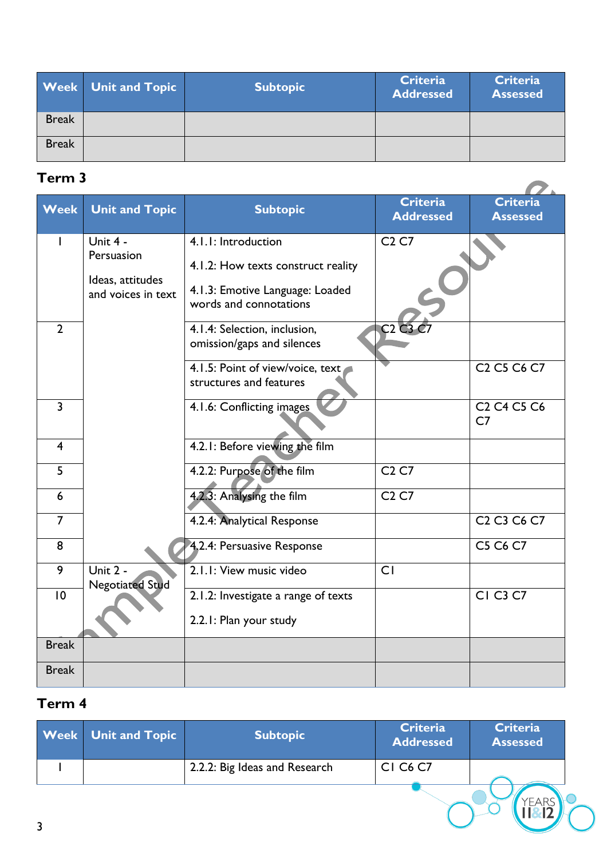|              | <b>Week</b> Unit and Topic | <b>Subtopic</b> | <b>Criteria</b><br><b>Addressed</b> | <b>Criteria</b><br><b>Assessed</b> |
|--------------|----------------------------|-----------------|-------------------------------------|------------------------------------|
| <b>Break</b> |                            |                 |                                     |                                    |
| <b>Break</b> |                            |                 |                                     |                                    |

## **Term 3**

| <b>Week</b>    | <b>Unit and Topic</b>                                | <b>Subtopic</b>                                                                                 | <b>Criteria</b><br><b>Addressed</b> | <b>Criteria</b><br><b>Assessed</b>                                            |
|----------------|------------------------------------------------------|-------------------------------------------------------------------------------------------------|-------------------------------------|-------------------------------------------------------------------------------|
|                | Unit 4 -                                             | 4.1.1: Introduction                                                                             | C <sub>2</sub> C <sub>7</sub>       |                                                                               |
|                | Persuasion<br>Ideas, attitudes<br>and voices in text | 4.1.2: How texts construct reality<br>4.1.3: Emotive Language: Loaded<br>words and connotations |                                     |                                                                               |
| $\overline{2}$ |                                                      | 4.1.4: Selection, inclusion,<br>omission/gaps and silences                                      | C2C3                                |                                                                               |
|                |                                                      | 4.1.5: Point of view/voice, text<br>structures and features                                     |                                     | C <sub>2</sub> C <sub>5</sub> C <sub>6</sub> C <sub>7</sub>                   |
| $\overline{3}$ |                                                      | 4.1.6: Conflicting images                                                                       |                                     | C <sub>2</sub> C <sub>4</sub> C <sub>5</sub> C <sub>6</sub><br>C <sub>7</sub> |
| $\overline{4}$ |                                                      | 4.2.1: Before viewing the film                                                                  |                                     |                                                                               |
| 5              |                                                      | 4.2.2: Purpose of the film                                                                      | C <sub>2</sub> C <sub>7</sub>       |                                                                               |
| 6              |                                                      | 4.2.3: Analysing the film                                                                       | C <sub>2</sub> C <sub>7</sub>       |                                                                               |
| $\overline{7}$ |                                                      | 4.2.4: Analytical Response                                                                      |                                     | C <sub>2</sub> C <sub>3</sub> C <sub>6</sub> C <sub>7</sub>                   |
| 8              |                                                      | 4.2.4: Persuasive Response                                                                      |                                     | C5 C6 C7                                                                      |
| 9              | Unit 2 -<br><b>Negotiated Stud</b>                   | 2.1.1: View music video                                                                         | CI                                  |                                                                               |
| 10             |                                                      | 2.1.2: Investigate a range of texts                                                             |                                     | <b>CI C3 C7</b>                                                               |
|                |                                                      | 2.2.1: Plan your study                                                                          |                                     |                                                                               |
| <b>Break</b>   |                                                      |                                                                                                 |                                     |                                                                               |
| <b>Break</b>   |                                                      |                                                                                                 |                                     |                                                                               |

## **Term 4**

|   | <b>Week</b> Unit and Topic | <b>Subtopic</b>               | <b>Criteria</b><br><b>Addressed</b> | <b>Criteria</b><br><b>Assessed</b> |  |
|---|----------------------------|-------------------------------|-------------------------------------|------------------------------------|--|
|   |                            | 2.2.2: Big Ideas and Research | <b>CI C6 C7</b>                     |                                    |  |
| 3 |                            |                               |                                     |                                    |  |